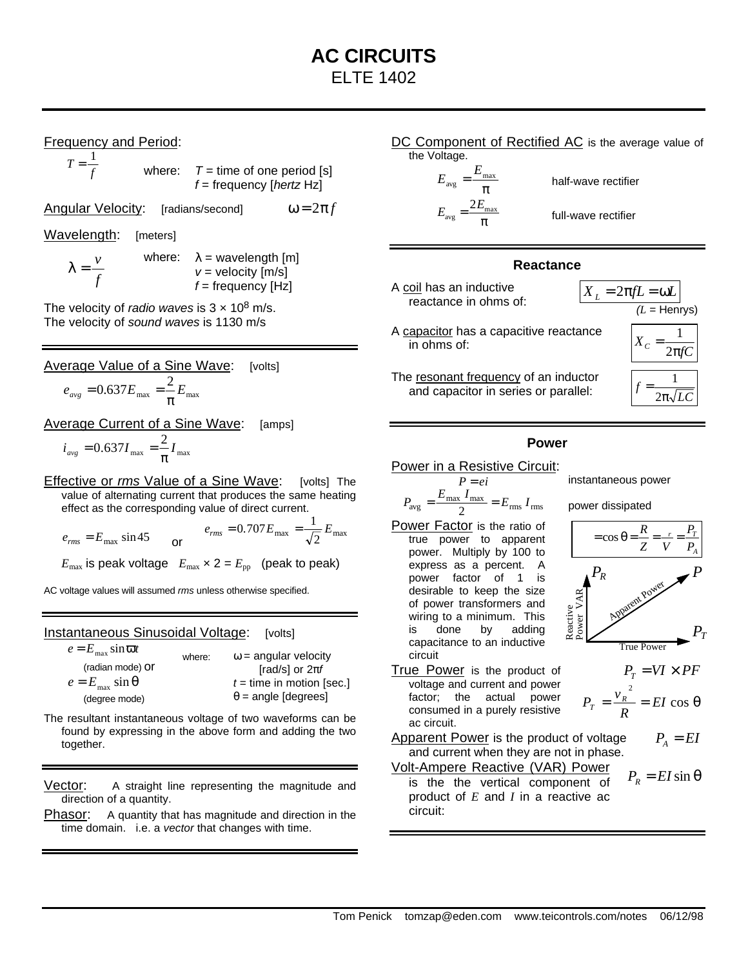Frequency and Period:

*T* = *f* 1 where:  $T =$  time of one period [s] *f* = frequency [*hertz* Hz]

Angular Velocity: [radians/second]  $\omega = 2\pi f$ 

Wavelength: [meters]

*f*  $λ = \frac{ν}{\sqrt{2}}$ where:  $\lambda$  = wavelength [m] *v* = velocity [m/s] *f* = frequency [Hz]

The velocity of *radio waves* is  $3 \times 10^8$  m/s. The velocity of *sound waves* is 1130 m/s

Average Value of a Sine Wave: [volts]

$$
e_{avg} = 0.637 E_{max} = \frac{2}{\pi} E_{max}
$$

Average Current of a Sine Wave: [amps]

$$
i_{\text{avg}} = 0.637 I_{\text{max}} = \frac{2}{\pi} I_{\text{max}}
$$

Effective or *rms* Value of a Sine Wave: [volts] The value of alternating current that produces the same heating effect as the corresponding value of direct current.

$$
e_{rms} = E_{max} \sin 45
$$
 or  $e_{rms} = 0.707 E_{max} = \frac{1}{\sqrt{2}} E_{max}$ 

 $E_{\text{max}}$  is peak voltage  $E_{\text{max}} \times 2 = E_{\text{pp}}$  (peak to peak)

AC voltage values will assumed *rms* unless otherwise specified.

Instantaneous Sinusoidal Voltage: [volts]

| $e = E_{\text{max}} \sin \omega t$ | where: | $\omega$ = angular velocity |  |
|------------------------------------|--------|-----------------------------|--|
| (radian mode) Or                   |        | [rad/s] or $2\pi f$         |  |
| $e = E_{\text{max}} \sin \theta$   |        | $t =$ time in motion [sec.] |  |
| (degree mode)                      |        | $\theta$ = angle [degrees]  |  |

- The resultant instantaneous voltage of two waveforms can be found by expressing in the above form and adding the two together.
- Vector: A straight line representing the magnitude and direction of a quantity.
- Phasor: A quantity that has magnitude and direction in the time domain. i.e. a *vector* that changes with time.

#### DC Component of Rectified AC is the average value of the Voltage.

π  $_{\rm avg} = \frac{E_{\rm max}}{2}$ *E* π  $v_{\text{avg}} = \frac{2L_{\text{max}}}{L}$ 2*E*

half-wave rectifier

full-wave rectifier

# **Reactance**

A coil has an inductive reactance in ohms of:



- A capacitor has a capacitive reactance in ohms of:
- The resonant frequency of an inductor and capacitor in series or parallel:

#### *(L* = Henrys) *X C*  $2π$ = 1 *f*  $2π$ = 1

# **Power**

# Power in a Resistive Circuit:<br> $P = ei$

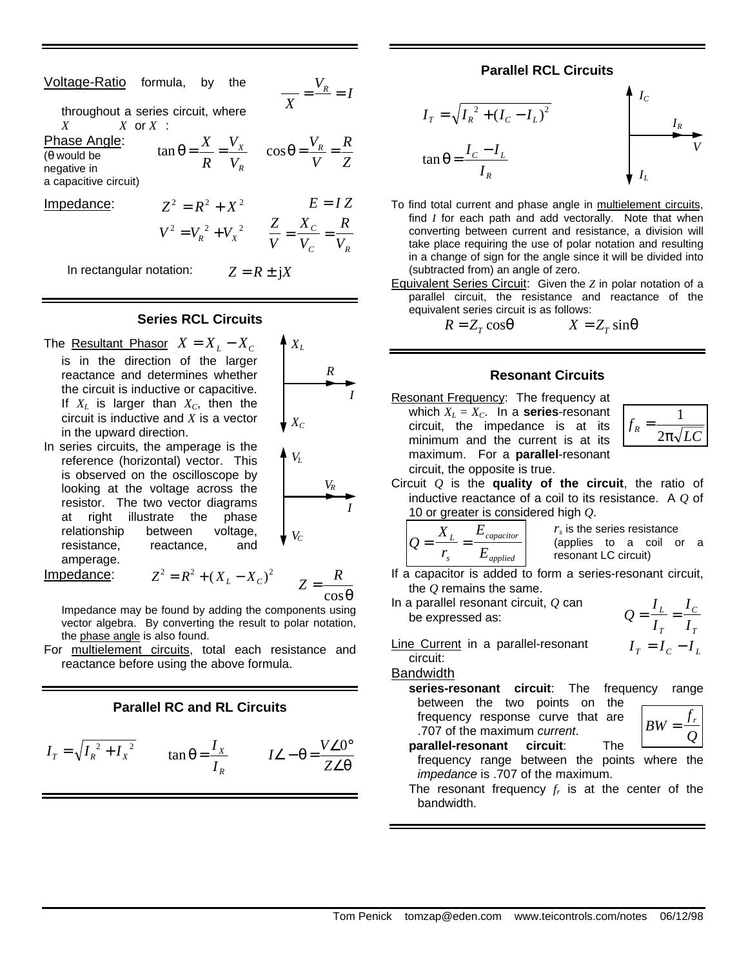| Voltage-Ratio formula, by the                                              |                   |  | $=\frac{V_R}{I} = I$                                                                      |
|----------------------------------------------------------------------------|-------------------|--|-------------------------------------------------------------------------------------------|
| throughout a series circuit, where<br>$X$ and $X$                          | $X$ or $X$ :      |  | $X$ <sup>-</sup>                                                                          |
| Phase Angle:<br>$(\theta$ would be<br>negative in<br>a capacitive circuit) |                   |  | $\tan \theta = \frac{X}{R} = \frac{V_X}{V_R}$ $\cos \theta = \frac{V_R}{V} = \frac{R}{Z}$ |
| Impedance:                                                                 | $Z^2 = R^2 + X^2$ |  | $E = IZ$                                                                                  |
|                                                                            |                   |  | $V^2 = V_R^2 + V_X^2$ $\qquad \frac{Z}{V} = \frac{X_C}{V_C} = \frac{R}{V_R}$              |

In rectangular notation:  $Z = R \pm iX$ 

#### **Series RCL Circuits**

The <u>Resultant Phasor</u>  $X = X_L - X_C$ is in the direction of the larger reactance and determines whether the circuit is inductive or capacitive. If  $X_L$  is larger than  $X_C$ , then the circuit is inductive and *X* is a vector in the upward direction.

$$
\begin{array}{c}\nR \\
R \\
I\n\end{array}
$$

 $X_L$ 

 $V_L$ 

*VC*

*Z R*

*C R*

In series circuits, the amperage is the reference (horizontal) vector. This is observed on the oscilloscope by looking at the voltage across the resistor. The two vector diagrams at right illustrate the phase relationship between voltage, resistance, reactance, and amperage.

**Impedance:** 
$$
Z^2 = R^2 + (X_L - X_C)^2
$$

$$
Z = \frac{R}{\cos \theta}
$$

*I*

*VR*

Impedance may be found by adding the components using vector algebra. By converting the result to polar notation, the phase angle is also found.

For multielement circuits, total each resistance and reactance before using the above formula.

### **Parallel RC and RL Circuits**

$$
I_T = \sqrt{I_R^2 + I_X^2} \qquad \tan \theta = \frac{I_X}{I_R} \qquad I \angle -\theta = \frac{V \angle 0^\circ}{Z \angle \theta}
$$

### **Parallel RCL Circuits**

$$
I_T = \sqrt{I_R^2 + (I_C - I_L)^2}
$$
  

$$
\tan \theta = \frac{I_C - I_L}{I_R}
$$

- To find total current and phase angle in multielement circuits, find *I* for each path and add vectorally. Note that when converting between current and resistance, a division will take place requiring the use of polar notation and resulting in a change of sign for the angle since it will be divided into (subtracted from) an angle of zero.
- Equivalent Series Circuit: Given the *Z* in polar notation of a parallel circuit, the resistance and reactance of the equivalent series circuit is as follows:

$$
R = Z_T \cos q \qquad \qquad X = Z_T \sin q
$$

### **Resonant Circuits**

Resonant Frequency: The frequency at which  $X_L = X_C$ . In a **series**-resonant circuit, the impedance is at its minimum and the current is at its maximum. For a **parallel**-resonant circuit, the opposite is true.

| ${\cal J}$ R | $2\pi\sqrt{LC}$ |
|--------------|-----------------|

Circuit *Q* is the **quality of the circuit**, the ratio of inductive reactance of a coil to its resistance. A *Q* of 10 or greater is considered high *Q*.

$$
Q = \frac{X_L}{r_s} = \frac{E_{capacitor}}{E_{applied}}
$$

*rs* is the series resistance (applies to a coil or a resonant LC circuit)

- If a capacitor is added to form a series-resonant circuit, the *Q* remains the same.
- In a parallel resonant circuit, *Q* can be expressed as:

$$
Q = \frac{I_L}{I_T} = \frac{I_C}{I_T}
$$

$$
I_T = I_C - I_L
$$

Line Current in a parallel-resonant circuit:

.707 of the maximum *current*.

Bandwidth

**series-resonant circuit**: The frequency range between the two points on the frequency response curve that are

| ВW |  |  |
|----|--|--|
|    |  |  |
|    |  |  |

- **parallel-resonant circuit**: The frequency range between the points where the *impedance* is .707 of the maximum.
- The resonant frequency *f<sup>r</sup>* is at the center of the bandwidth.